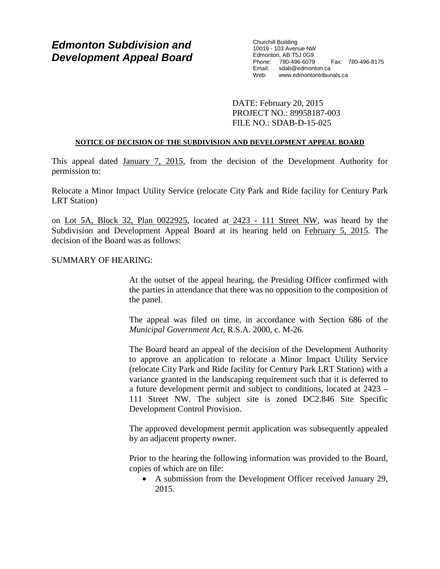# *Edmonton Subdivision and Development Appeal Board*

Churchill Building 10019 - 103 Avenue NW Edmonton, AB T5J 0G9 Phone: 780-496-6079 Fax: 780-496-8175 Email: sdab@edmonton.ca<br>Web: www.edmontontribur www.edmontontribunals.ca

DATE: February 20, 2015 PROJECT NO.: 89958187-003 FILE NO.: SDAB-D-15-025

### **NOTICE OF DECISION OF THE SUBDIVISION AND DEVELOPMENT APPEAL BOARD**

This appeal dated January 7, 2015, from the decision of the Development Authority for permission to:

Relocate a Minor Impact Utility Service (relocate City Park and Ride facility for Century Park LRT Station)

on Lot 5A, Block 32, Plan 0022925, located at 2423 - 111 Street NW, was heard by the Subdivision and Development Appeal Board at its hearing held on February 5, 2015. The decision of the Board was as follows:

### SUMMARY OF HEARING:

At the outset of the appeal hearing, the Presiding Officer confirmed with the parties in attendance that there was no opposition to the composition of the panel.

The appeal was filed on time, in accordance with Section 686 of the *Municipal Government Act*, R.S.A. 2000, c. M-26.

The Board heard an appeal of the decision of the Development Authority to approve an application to relocate a Minor Impact Utility Service (relocate City Park and Ride facility for Century Park LRT Station) with a variance granted in the landscaping requirement such that it is deferred to a future development permit and subject to conditions, located at 2423 – 111 Street NW. The subject site is zoned DC2.846 Site Specific Development Control Provision.

The approved development permit application was subsequently appealed by an adjacent property owner.

Prior to the hearing the following information was provided to the Board, copies of which are on file:

• A submission from the Development Officer received January 29, 2015.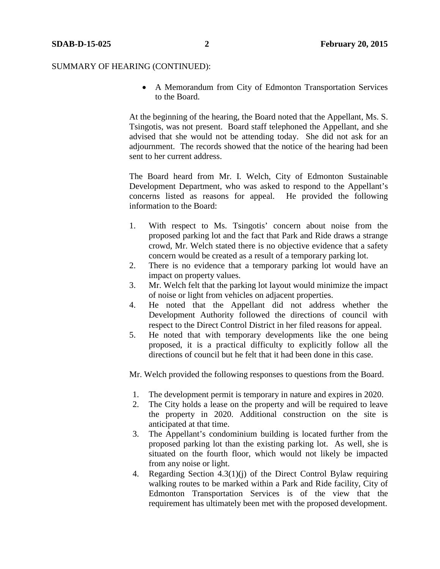• A Memorandum from City of Edmonton Transportation Services to the Board.

At the beginning of the hearing, the Board noted that the Appellant, Ms. S. Tsingotis, was not present. Board staff telephoned the Appellant, and she advised that she would not be attending today. She did not ask for an adjournment. The records showed that the notice of the hearing had been sent to her current address.

The Board heard from Mr. I. Welch, City of Edmonton Sustainable Development Department, who was asked to respond to the Appellant's concerns listed as reasons for appeal. He provided the following information to the Board:

- 1. With respect to Ms. Tsingotis' concern about noise from the proposed parking lot and the fact that Park and Ride draws a strange crowd, Mr. Welch stated there is no objective evidence that a safety concern would be created as a result of a temporary parking lot.
- 2. There is no evidence that a temporary parking lot would have an impact on property values.
- 3. Mr. Welch felt that the parking lot layout would minimize the impact of noise or light from vehicles on adjacent properties.
- 4. He noted that the Appellant did not address whether the Development Authority followed the directions of council with respect to the Direct Control District in her filed reasons for appeal.
- 5. He noted that with temporary developments like the one being proposed, it is a practical difficulty to explicitly follow all the directions of council but he felt that it had been done in this case.

Mr. Welch provided the following responses to questions from the Board.

- 1. The development permit is temporary in nature and expires in 2020.
- 2. The City holds a lease on the property and will be required to leave the property in 2020. Additional construction on the site is anticipated at that time.
- 3. The Appellant's condominium building is located further from the proposed parking lot than the existing parking lot. As well, she is situated on the fourth floor, which would not likely be impacted from any noise or light.
- 4. Regarding Section 4.3(1)(j) of the Direct Control Bylaw requiring walking routes to be marked within a Park and Ride facility, City of Edmonton Transportation Services is of the view that the requirement has ultimately been met with the proposed development.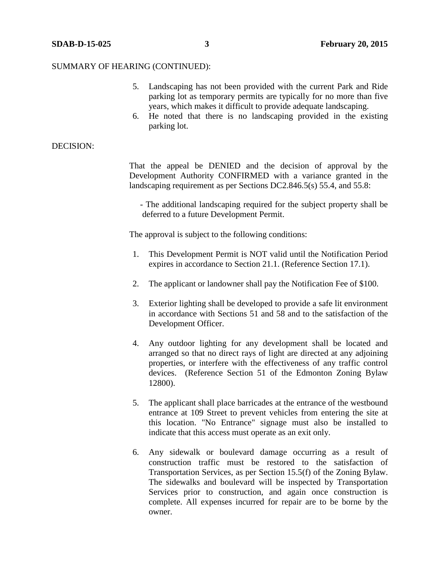- 5. Landscaping has not been provided with the current Park and Ride parking lot as temporary permits are typically for no more than five years, which makes it difficult to provide adequate landscaping.
- 6. He noted that there is no landscaping provided in the existing parking lot.

# DECISION:

That the appeal be DENIED and the decision of approval by the Development Authority CONFIRMED with a variance granted in the landscaping requirement as per Sections DC2.846.5(s) 55.4, and 55.8:

 - The additional landscaping required for the subject property shall be deferred to a future Development Permit.

The approval is subject to the following conditions:

- 1. This Development Permit is NOT valid until the Notification Period expires in accordance to Section 21.1. (Reference Section 17.1).
- 2. The applicant or landowner shall pay the Notification Fee of \$100.
- 3. Exterior lighting shall be developed to provide a safe lit environment in accordance with Sections 51 and 58 and to the satisfaction of the Development Officer.
- 4. Any outdoor lighting for any development shall be located and arranged so that no direct rays of light are directed at any adjoining properties, or interfere with the effectiveness of any traffic control devices. (Reference Section 51 of the Edmonton Zoning Bylaw 12800).
- 5. The applicant shall place barricades at the entrance of the westbound entrance at 109 Street to prevent vehicles from entering the site at this location. "No Entrance" signage must also be installed to indicate that this access must operate as an exit only.
- 6. Any sidewalk or boulevard damage occurring as a result of construction traffic must be restored to the satisfaction of Transportation Services, as per Section 15.5(f) of the Zoning Bylaw. The sidewalks and boulevard will be inspected by Transportation Services prior to construction, and again once construction is complete. All expenses incurred for repair are to be borne by the owner.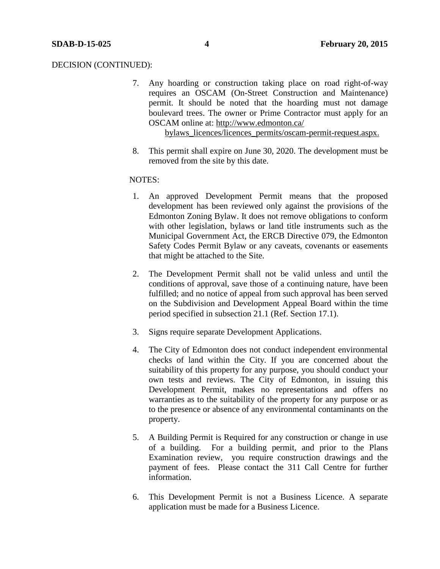#### DECISION (CONTINUED):

- 7. Any hoarding or construction taking place on road right-of-way requires an OSCAM (On-Street Construction and Maintenance) permit. It should be noted that the hoarding must not damage boulevard trees. The owner or Prime Contractor must apply for an OSCAM online at:<http://www.edmonton.ca/> bylaws\_licences/licences\_permits/oscam-permit-request.aspx.
- 8. This permit shall expire on June 30, 2020. The development must be removed from the site by this date.

# NOTES:

- 1. An approved Development Permit means that the proposed development has been reviewed only against the provisions of the Edmonton Zoning Bylaw. It does not remove obligations to conform with other legislation, bylaws or land title instruments such as the Municipal Government Act, the ERCB Directive 079, the Edmonton Safety Codes Permit Bylaw or any caveats, covenants or easements that might be attached to the Site.
- 2. The Development Permit shall not be valid unless and until the conditions of approval, save those of a continuing nature, have been fulfilled; and no notice of appeal from such approval has been served on the Subdivision and Development Appeal Board within the time period specified in subsection 21.1 (Ref. Section 17.1).
- 3. Signs require separate Development Applications.
- 4. The City of Edmonton does not conduct independent environmental checks of land within the City. If you are concerned about the suitability of this property for any purpose, you should conduct your own tests and reviews. The City of Edmonton, in issuing this Development Permit, makes no representations and offers no warranties as to the suitability of the property for any purpose or as to the presence or absence of any environmental contaminants on the property.
- 5. A Building Permit is Required for any construction or change in use of a building. For a building permit, and prior to the Plans Examination review, you require construction drawings and the payment of fees. Please contact the 311 Call Centre for further information.
- 6. This Development Permit is not a Business Licence. A separate application must be made for a Business Licence.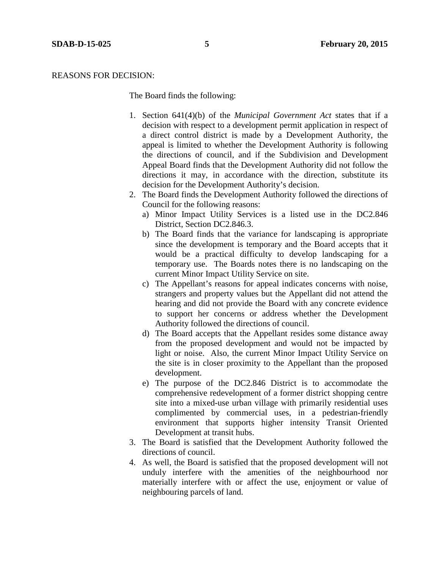#### REASONS FOR DECISION:

The Board finds the following:

- 1. Section 641(4)(b) of the *Municipal Government Act* states that if a decision with respect to a development permit application in respect of a direct control district is made by a Development Authority, the appeal is limited to whether the Development Authority is following the directions of council, and if the Subdivision and Development Appeal Board finds that the Development Authority did not follow the directions it may, in accordance with the direction, substitute its decision for the Development Authority's decision.
- 2. The Board finds the Development Authority followed the directions of Council for the following reasons:
	- a) Minor Impact Utility Services is a listed use in the DC2.846 District, Section DC2.846.3.
	- b) The Board finds that the variance for landscaping is appropriate since the development is temporary and the Board accepts that it would be a practical difficulty to develop landscaping for a temporary use. The Boards notes there is no landscaping on the current Minor Impact Utility Service on site.
	- c) The Appellant's reasons for appeal indicates concerns with noise, strangers and property values but the Appellant did not attend the hearing and did not provide the Board with any concrete evidence to support her concerns or address whether the Development Authority followed the directions of council.
	- d) The Board accepts that the Appellant resides some distance away from the proposed development and would not be impacted by light or noise. Also, the current Minor Impact Utility Service on the site is in closer proximity to the Appellant than the proposed development.
	- e) The purpose of the DC2.846 District is to accommodate the comprehensive redevelopment of a former district shopping centre site into a mixed-use urban village with primarily residential uses complimented by commercial uses, in a pedestrian-friendly environment that supports higher intensity Transit Oriented Development at transit hubs.
- 3. The Board is satisfied that the Development Authority followed the directions of council.
- 4. As well, the Board is satisfied that the proposed development will not unduly interfere with the amenities of the neighbourhood nor materially interfere with or affect the use, enjoyment or value of neighbouring parcels of land.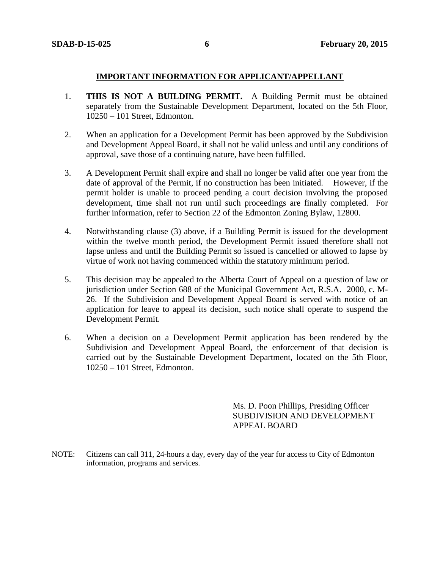# **IMPORTANT INFORMATION FOR APPLICANT/APPELLANT**

- 1. **THIS IS NOT A BUILDING PERMIT.** A Building Permit must be obtained separately from the Sustainable Development Department, located on the 5th Floor, 10250 – 101 Street, Edmonton.
- 2. When an application for a Development Permit has been approved by the Subdivision and Development Appeal Board, it shall not be valid unless and until any conditions of approval, save those of a continuing nature, have been fulfilled.
- 3. A Development Permit shall expire and shall no longer be valid after one year from the date of approval of the Permit, if no construction has been initiated. However, if the permit holder is unable to proceed pending a court decision involving the proposed development, time shall not run until such proceedings are finally completed. For further information, refer to Section 22 of the Edmonton Zoning Bylaw, 12800.
- 4. Notwithstanding clause (3) above, if a Building Permit is issued for the development within the twelve month period, the Development Permit issued therefore shall not lapse unless and until the Building Permit so issued is cancelled or allowed to lapse by virtue of work not having commenced within the statutory minimum period.
- 5. This decision may be appealed to the Alberta Court of Appeal on a question of law or jurisdiction under Section 688 of the Municipal Government Act, R.S.A. 2000, c. M-26. If the Subdivision and Development Appeal Board is served with notice of an application for leave to appeal its decision, such notice shall operate to suspend the Development Permit.
- 6. When a decision on a Development Permit application has been rendered by the Subdivision and Development Appeal Board, the enforcement of that decision is carried out by the Sustainable Development Department, located on the 5th Floor, 10250 – 101 Street, Edmonton.

Ms. D. Poon Phillips, Presiding Officer SUBDIVISION AND DEVELOPMENT APPEAL BOARD

NOTE: Citizens can call 311, 24-hours a day, every day of the year for access to City of Edmonton information, programs and services.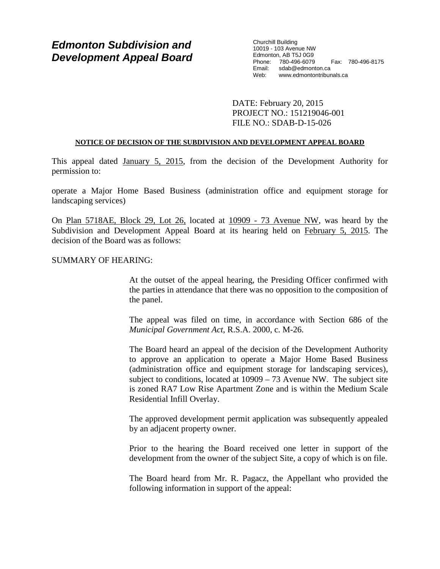# *Edmonton Subdivision and Development Appeal Board*

Churchill Building 10019 - 103 Avenue NW Edmonton, AB T5J 0G9 Phone: 780-496-6079 Fax: 780-496-8175 Email: sdab@edmonton.ca<br>Web: www.edmontontribur www.edmontontribunals.ca

DATE: February 20, 2015 PROJECT NO.: 151219046-001 FILE NO.: SDAB-D-15-026

### **NOTICE OF DECISION OF THE SUBDIVISION AND DEVELOPMENT APPEAL BOARD**

This appeal dated January 5, 2015, from the decision of the Development Authority for permission to:

operate a Major Home Based Business (administration office and equipment storage for landscaping services)

On Plan 5718AE, Block 29, Lot 26, located at 10909 - 73 Avenue NW, was heard by the Subdivision and Development Appeal Board at its hearing held on February 5, 2015. The decision of the Board was as follows:

#### SUMMARY OF HEARING:

At the outset of the appeal hearing, the Presiding Officer confirmed with the parties in attendance that there was no opposition to the composition of the panel.

The appeal was filed on time, in accordance with Section 686 of the *Municipal Government Act*, R.S.A. 2000, c. M-26.

The Board heard an appeal of the decision of the Development Authority to approve an application to operate a Major Home Based Business (administration office and equipment storage for landscaping services), subject to conditions, located at 10909 – 73 Avenue NW. The subject site is zoned RA7 Low Rise Apartment Zone and is within the Medium Scale Residential Infill Overlay.

The approved development permit application was subsequently appealed by an adjacent property owner.

Prior to the hearing the Board received one letter in support of the development from the owner of the subject Site, a copy of which is on file.

The Board heard from Mr. R. Pagacz, the Appellant who provided the following information in support of the appeal: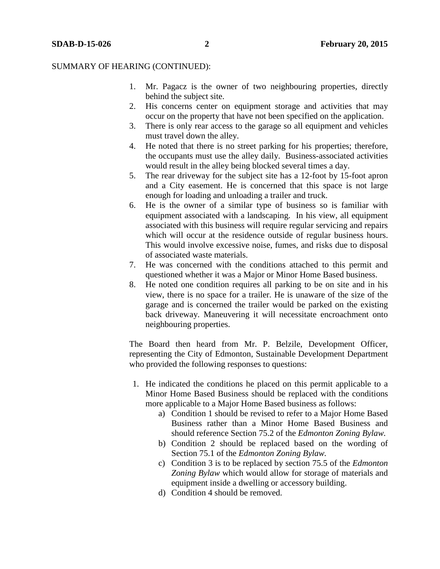- 1. Mr. Pagacz is the owner of two neighbouring properties, directly behind the subject site.
- 2. His concerns center on equipment storage and activities that may occur on the property that have not been specified on the application.
- 3. There is only rear access to the garage so all equipment and vehicles must travel down the alley.
- 4. He noted that there is no street parking for his properties; therefore, the occupants must use the alley daily. Business-associated activities would result in the alley being blocked several times a day.
- 5. The rear driveway for the subject site has a 12-foot by 15-foot apron and a City easement. He is concerned that this space is not large enough for loading and unloading a trailer and truck.
- 6. He is the owner of a similar type of business so is familiar with equipment associated with a landscaping. In his view, all equipment associated with this business will require regular servicing and repairs which will occur at the residence outside of regular business hours. This would involve excessive noise, fumes, and risks due to disposal of associated waste materials.
- 7. He was concerned with the conditions attached to this permit and questioned whether it was a Major or Minor Home Based business.
- 8. He noted one condition requires all parking to be on site and in his view, there is no space for a trailer. He is unaware of the size of the garage and is concerned the trailer would be parked on the existing back driveway. Maneuvering it will necessitate encroachment onto neighbouring properties.

The Board then heard from Mr. P. Belzile, Development Officer, representing the City of Edmonton, Sustainable Development Department who provided the following responses to questions:

- 1. He indicated the conditions he placed on this permit applicable to a Minor Home Based Business should be replaced with the conditions more applicable to a Major Home Based business as follows:
	- a) Condition 1 should be revised to refer to a Major Home Based Business rather than a Minor Home Based Business and should reference Section 75.2 of the *Edmonton Zoning Bylaw.*
	- b) Condition 2 should be replaced based on the wording of Section 75.1 of the *Edmonton Zoning Bylaw.*
	- c) Condition 3 is to be replaced by section 75.5 of the *Edmonton Zoning Bylaw* which would allow for storage of materials and equipment inside a dwelling or accessory building.
	- d) Condition 4 should be removed.

**SDAB-D-15-026 2 February 20, 2015**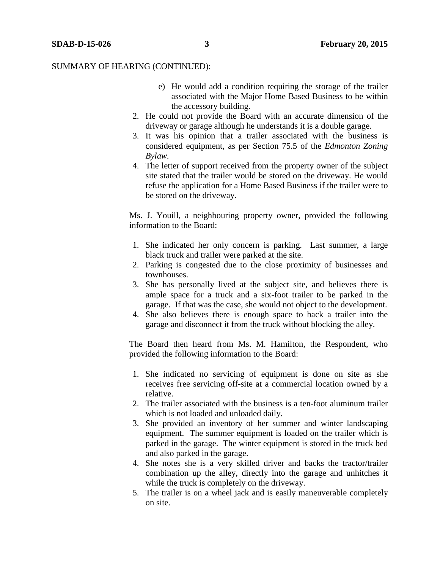- e) He would add a condition requiring the storage of the trailer associated with the Major Home Based Business to be within the accessory building.
- 2. He could not provide the Board with an accurate dimension of the driveway or garage although he understands it is a double garage.
- 3. It was his opinion that a trailer associated with the business is considered equipment, as per Section 75.5 of the *Edmonton Zoning Bylaw.*
- 4. The letter of support received from the property owner of the subject site stated that the trailer would be stored on the driveway. He would refuse the application for a Home Based Business if the trailer were to be stored on the driveway.

Ms. J. Youill, a neighbouring property owner, provided the following information to the Board:

- 1. She indicated her only concern is parking. Last summer, a large black truck and trailer were parked at the site.
- 2. Parking is congested due to the close proximity of businesses and townhouses.
- 3. She has personally lived at the subject site, and believes there is ample space for a truck and a six-foot trailer to be parked in the garage. If that was the case, she would not object to the development.
- 4. She also believes there is enough space to back a trailer into the garage and disconnect it from the truck without blocking the alley.

The Board then heard from Ms. M. Hamilton, the Respondent, who provided the following information to the Board:

- 1. She indicated no servicing of equipment is done on site as she receives free servicing off-site at a commercial location owned by a relative.
- 2. The trailer associated with the business is a ten-foot aluminum trailer which is not loaded and unloaded daily.
- 3. She provided an inventory of her summer and winter landscaping equipment. The summer equipment is loaded on the trailer which is parked in the garage. The winter equipment is stored in the truck bed and also parked in the garage.
- 4. She notes she is a very skilled driver and backs the tractor/trailer combination up the alley, directly into the garage and unhitches it while the truck is completely on the driveway.
- 5. The trailer is on a wheel jack and is easily maneuverable completely on site.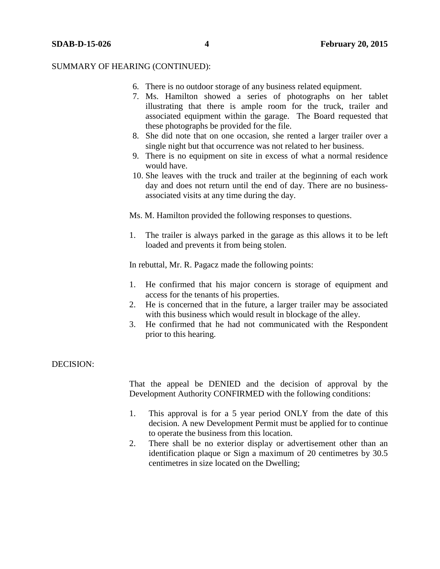- 6. There is no outdoor storage of any business related equipment.
- 7. Ms. Hamilton showed a series of photographs on her tablet illustrating that there is ample room for the truck, trailer and associated equipment within the garage. The Board requested that these photographs be provided for the file.
- 8. She did note that on one occasion, she rented a larger trailer over a single night but that occurrence was not related to her business.
- 9. There is no equipment on site in excess of what a normal residence would have.
- 10. She leaves with the truck and trailer at the beginning of each work day and does not return until the end of day. There are no businessassociated visits at any time during the day.

Ms. M. Hamilton provided the following responses to questions.

1. The trailer is always parked in the garage as this allows it to be left loaded and prevents it from being stolen.

In rebuttal, Mr. R. Pagacz made the following points:

- 1. He confirmed that his major concern is storage of equipment and access for the tenants of his properties.
- 2. He is concerned that in the future, a larger trailer may be associated with this business which would result in blockage of the alley.
- 3. He confirmed that he had not communicated with the Respondent prior to this hearing.

# DECISION:

That the appeal be DENIED and the decision of approval by the Development Authority CONFIRMED with the following conditions:

- 1. This approval is for a 5 year period ONLY from the date of this decision. A new Development Permit must be applied for to continue to operate the business from this location.
- 2. There shall be no exterior display or advertisement other than an identification plaque or Sign a maximum of 20 centimetres by 30.5 centimetres in size located on the Dwelling;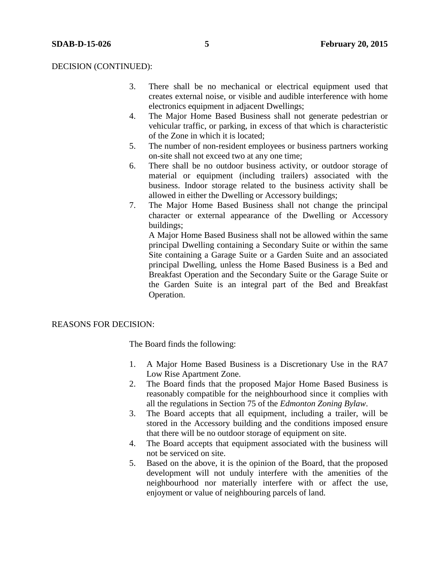#### DECISION (CONTINUED):

- 3. There shall be no mechanical or electrical equipment used that creates external noise, or visible and audible interference with home electronics equipment in adjacent Dwellings;
- 4. The Major Home Based Business shall not generate pedestrian or vehicular traffic, or parking, in excess of that which is characteristic of the Zone in which it is located;
- 5. The number of non-resident employees or business partners working on-site shall not exceed two at any one time;
- 6. There shall be no outdoor business activity, or outdoor storage of material or equipment (including trailers) associated with the business. Indoor storage related to the business activity shall be allowed in either the Dwelling or Accessory buildings;
- 7. The Major Home Based Business shall not change the principal character or external appearance of the Dwelling or Accessory buildings;

A Major Home Based Business shall not be allowed within the same principal Dwelling containing a Secondary Suite or within the same Site containing a Garage Suite or a Garden Suite and an associated principal Dwelling, unless the Home Based Business is a Bed and Breakfast Operation and the Secondary Suite or the Garage Suite or the Garden Suite is an integral part of the Bed and Breakfast Operation.

#### REASONS FOR DECISION:

The Board finds the following:

- 1. A Major Home Based Business is a Discretionary Use in the RA7 Low Rise Apartment Zone.
- 2. The Board finds that the proposed Major Home Based Business is reasonably compatible for the neighbourhood since it complies with all the regulations in Section 75 of the *Edmonton Zoning Bylaw*.
- 3. The Board accepts that all equipment, including a trailer, will be stored in the Accessory building and the conditions imposed ensure that there will be no outdoor storage of equipment on site.
- 4. The Board accepts that equipment associated with the business will not be serviced on site.
- 5. Based on the above, it is the opinion of the Board, that the proposed development will not unduly interfere with the amenities of the neighbourhood nor materially interfere with or affect the use, enjoyment or value of neighbouring parcels of land.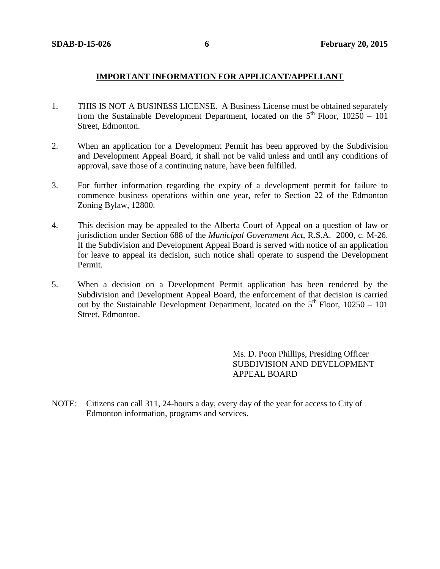# **IMPORTANT INFORMATION FOR APPLICANT/APPELLANT**

- 1. THIS IS NOT A BUSINESS LICENSE. A Business License must be obtained separately from the Sustainable Development Department, located on the  $5<sup>th</sup>$  Floor, 10250 – 101 Street, Edmonton.
- 2. When an application for a Development Permit has been approved by the Subdivision and Development Appeal Board, it shall not be valid unless and until any conditions of approval, save those of a continuing nature, have been fulfilled.
- 3. For further information regarding the expiry of a development permit for failure to commence business operations within one year, refer to Section 22 of the Edmonton Zoning Bylaw, 12800.
- 4. This decision may be appealed to the Alberta Court of Appeal on a question of law or jurisdiction under Section 688 of the *Municipal Government Act*, R.S.A. 2000, c. M-26. If the Subdivision and Development Appeal Board is served with notice of an application for leave to appeal its decision, such notice shall operate to suspend the Development Permit.
- 5. When a decision on a Development Permit application has been rendered by the Subdivision and Development Appeal Board, the enforcement of that decision is carried out by the Sustainable Development Department, located on the  $5<sup>th</sup>$  Floor, 10250 – 101 Street, Edmonton.

Ms. D. Poon Phillips, Presiding Officer SUBDIVISION AND DEVELOPMENT APPEAL BOARD

NOTE: Citizens can call 311, 24-hours a day, every day of the year for access to City of Edmonton information, programs and services.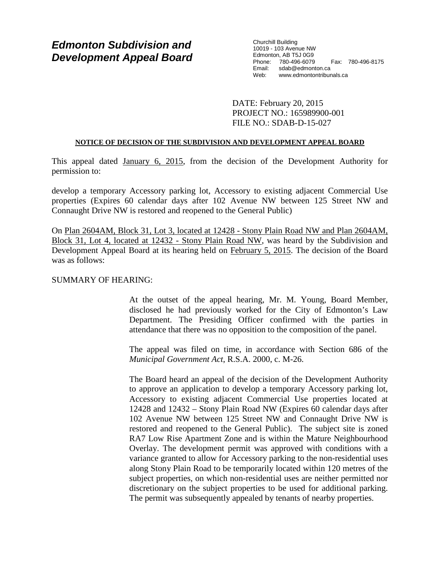# *Edmonton Subdivision and Development Appeal Board*

Churchill Building 10019 - 103 Avenue NW Edmonton, AB T5J 0G9 Phone: 780-496-6079 Fax: 780-496-8175 Email: sdab@edmonton.ca<br>Web: www.edmontontribur www.edmontontribunals.ca

DATE: February 20, 2015 PROJECT NO.: 165989900-001 FILE NO.: SDAB-D-15-027

### **NOTICE OF DECISION OF THE SUBDIVISION AND DEVELOPMENT APPEAL BOARD**

This appeal dated January 6, 2015, from the decision of the Development Authority for permission to:

develop a temporary Accessory parking lot, Accessory to existing adjacent Commercial Use properties (Expires 60 calendar days after 102 Avenue NW between 125 Street NW and Connaught Drive NW is restored and reopened to the General Public)

On Plan 2604AM, Block 31, Lot 3, located at 12428 - Stony Plain Road NW and Plan 2604AM, Block 31, Lot 4, located at 12432 - Stony Plain Road NW, was heard by the Subdivision and Development Appeal Board at its hearing held on February 5, 2015. The decision of the Board was as follows:

# SUMMARY OF HEARING:

At the outset of the appeal hearing, Mr. M. Young, Board Member, disclosed he had previously worked for the City of Edmonton's Law Department. The Presiding Officer confirmed with the parties in attendance that there was no opposition to the composition of the panel.

The appeal was filed on time, in accordance with Section 686 of the *Municipal Government Act*, R.S.A. 2000, c. M-26.

The Board heard an appeal of the decision of the Development Authority to approve an application to develop a temporary Accessory parking lot, Accessory to existing adjacent Commercial Use properties located at 12428 and 12432 – Stony Plain Road NW (Expires 60 calendar days after 102 Avenue NW between 125 Street NW and Connaught Drive NW is restored and reopened to the General Public). The subject site is zoned RA7 Low Rise Apartment Zone and is within the Mature Neighbourhood Overlay. The development permit was approved with conditions with a variance granted to allow for Accessory parking to the non-residential uses along Stony Plain Road to be temporarily located within 120 metres of the subject properties, on which non-residential uses are neither permitted nor discretionary on the subject properties to be used for additional parking. The permit was subsequently appealed by tenants of nearby properties.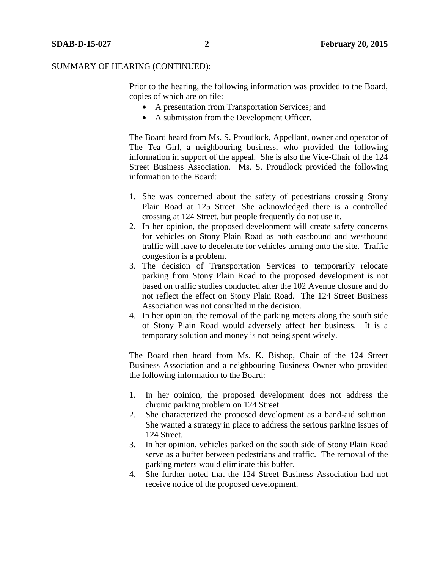Prior to the hearing, the following information was provided to the Board, copies of which are on file:

- A presentation from Transportation Services; and
- A submission from the Development Officer.

The Board heard from Ms. S. Proudlock, Appellant, owner and operator of The Tea Girl, a neighbouring business, who provided the following information in support of the appeal. She is also the Vice-Chair of the 124 Street Business Association. Ms. S. Proudlock provided the following information to the Board:

- 1. She was concerned about the safety of pedestrians crossing Stony Plain Road at 125 Street. She acknowledged there is a controlled crossing at 124 Street, but people frequently do not use it.
- 2. In her opinion, the proposed development will create safety concerns for vehicles on Stony Plain Road as both eastbound and westbound traffic will have to decelerate for vehicles turning onto the site. Traffic congestion is a problem.
- 3. The decision of Transportation Services to temporarily relocate parking from Stony Plain Road to the proposed development is not based on traffic studies conducted after the 102 Avenue closure and do not reflect the effect on Stony Plain Road. The 124 Street Business Association was not consulted in the decision.
- 4. In her opinion, the removal of the parking meters along the south side of Stony Plain Road would adversely affect her business. It is a temporary solution and money is not being spent wisely.

The Board then heard from Ms. K. Bishop, Chair of the 124 Street Business Association and a neighbouring Business Owner who provided the following information to the Board:

- 1. In her opinion, the proposed development does not address the chronic parking problem on 124 Street.
- 2. She characterized the proposed development as a band-aid solution. She wanted a strategy in place to address the serious parking issues of 124 Street.
- 3. In her opinion, vehicles parked on the south side of Stony Plain Road serve as a buffer between pedestrians and traffic. The removal of the parking meters would eliminate this buffer.
- 4. She further noted that the 124 Street Business Association had not receive notice of the proposed development.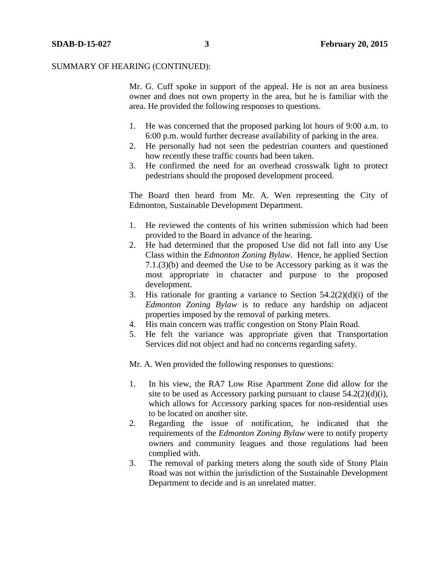Mr. G. Cuff spoke in support of the appeal. He is not an area business owner and does not own property in the area, but he is familiar with the area. He provided the following responses to questions.

- 1. He was concerned that the proposed parking lot hours of 9:00 a.m. to 6:00 p.m. would further decrease availability of parking in the area.
- 2. He personally had not seen the pedestrian counters and questioned how recently these traffic counts had been taken.
- 3. He confirmed the need for an overhead crosswalk light to protect pedestrians should the proposed development proceed.

The Board then heard from Mr. A. Wen representing the City of Edmonton, Sustainable Development Department.

- 1. He reviewed the contents of his written submission which had been provided to the Board in advance of the hearing.
- 2. He had determined that the proposed Use did not fall into any Use Class within the *Edmonton Zoning Bylaw*. Hence, he applied Section 7.1.(3)(b) and deemed the Use to be Accessory parking as it was the most appropriate in character and purpose to the proposed development.
- 3. His rationale for granting a variance to Section 54.2(2)(d)(i) of the *Edmonton Zoning Bylaw* is to reduce any hardship on adjacent properties imposed by the removal of parking meters.
- 4. His main concern was traffic congestion on Stony Plain Road.
- 5. He felt the variance was appropriate given that Transportation Services did not object and had no concerns regarding safety.

Mr. A. Wen provided the following responses to questions:

- 1. In his view, the RA7 Low Rise Apartment Zone did allow for the site to be used as Accessory parking pursuant to clause  $54.2(2)(d)(i)$ , which allows for Accessory parking spaces for non-residential uses to be located on another site.
- 2. Regarding the issue of notification, he indicated that the requirements of the *Edmonton Zoning Bylaw* were to notify property owners and community leagues and those regulations had been complied with.
- 3. The removal of parking meters along the south side of Stony Plain Road was not within the jurisdiction of the Sustainable Development Department to decide and is an unrelated matter.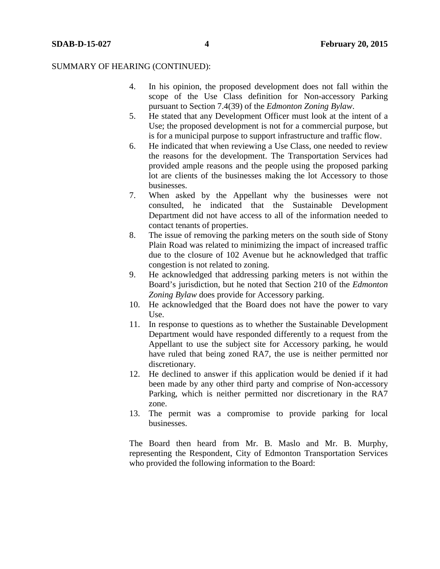- 4. In his opinion, the proposed development does not fall within the scope of the Use Class definition for Non-accessory Parking pursuant to Section 7.4(39) of the *Edmonton Zoning Bylaw*.
- 5. He stated that any Development Officer must look at the intent of a Use; the proposed development is not for a commercial purpose, but is for a municipal purpose to support infrastructure and traffic flow.
- 6. He indicated that when reviewing a Use Class, one needed to review the reasons for the development. The Transportation Services had provided ample reasons and the people using the proposed parking lot are clients of the businesses making the lot Accessory to those businesses.
- 7. When asked by the Appellant why the businesses were not consulted, he indicated that the Sustainable Development Department did not have access to all of the information needed to contact tenants of properties.
- 8. The issue of removing the parking meters on the south side of Stony Plain Road was related to minimizing the impact of increased traffic due to the closure of 102 Avenue but he acknowledged that traffic congestion is not related to zoning.
- 9. He acknowledged that addressing parking meters is not within the Board's jurisdiction, but he noted that Section 210 of the *Edmonton Zoning Bylaw* does provide for Accessory parking.
- 10. He acknowledged that the Board does not have the power to vary Use.
- 11. In response to questions as to whether the Sustainable Development Department would have responded differently to a request from the Appellant to use the subject site for Accessory parking, he would have ruled that being zoned RA7, the use is neither permitted nor discretionary.
- 12. He declined to answer if this application would be denied if it had been made by any other third party and comprise of Non-accessory Parking, which is neither permitted nor discretionary in the RA7 zone.
- 13. The permit was a compromise to provide parking for local businesses.

The Board then heard from Mr. B. Maslo and Mr. B. Murphy, representing the Respondent, City of Edmonton Transportation Services who provided the following information to the Board: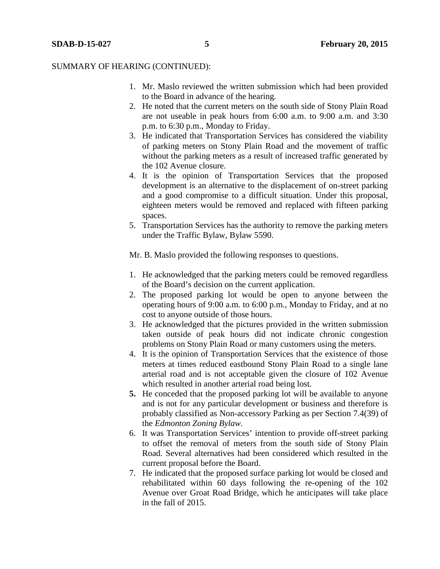- 1. Mr. Maslo reviewed the written submission which had been provided to the Board in advance of the hearing.
- 2. He noted that the current meters on the south side of Stony Plain Road are not useable in peak hours from 6:00 a.m. to 9:00 a.m. and 3:30 p.m. to 6:30 p.m., Monday to Friday.
- 3. He indicated that Transportation Services has considered the viability of parking meters on Stony Plain Road and the movement of traffic without the parking meters as a result of increased traffic generated by the 102 Avenue closure.
- 4. It is the opinion of Transportation Services that the proposed development is an alternative to the displacement of on-street parking and a good compromise to a difficult situation. Under this proposal, eighteen meters would be removed and replaced with fifteen parking spaces.
- 5. Transportation Services has the authority to remove the parking meters under the Traffic Bylaw, Bylaw 5590.

Mr. B. Maslo provided the following responses to questions.

- 1. He acknowledged that the parking meters could be removed regardless of the Board's decision on the current application.
- 2. The proposed parking lot would be open to anyone between the operating hours of 9:00 a.m. to 6:00 p.m., Monday to Friday, and at no cost to anyone outside of those hours.
- 3. He acknowledged that the pictures provided in the written submission taken outside of peak hours did not indicate chronic congestion problems on Stony Plain Road or many customers using the meters.
- 4. It is the opinion of Transportation Services that the existence of those meters at times reduced eastbound Stony Plain Road to a single lane arterial road and is not acceptable given the closure of 102 Avenue which resulted in another arterial road being lost.
- **5.** He conceded that the proposed parking lot will be available to anyone and is not for any particular development or business and therefore is probably classified as Non-accessory Parking as per Section 7.4(39) of the *Edmonton Zoning Bylaw.*
- 6. It was Transportation Services' intention to provide off-street parking to offset the removal of meters from the south side of Stony Plain Road. Several alternatives had been considered which resulted in the current proposal before the Board.
- 7. He indicated that the proposed surface parking lot would be closed and rehabilitated within 60 days following the re-opening of the 102 Avenue over Groat Road Bridge, which he anticipates will take place in the fall of 2015.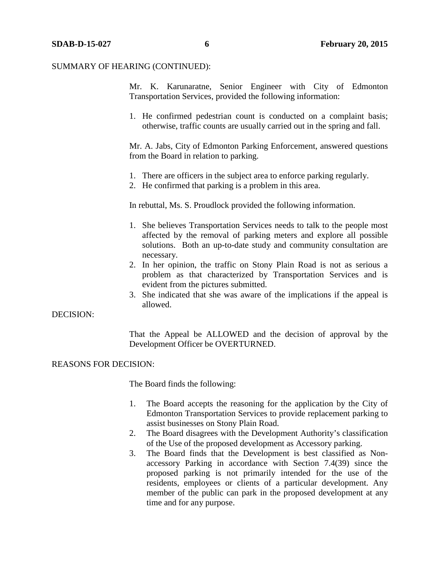Mr. K. Karunaratne, Senior Engineer with City of Edmonton Transportation Services, provided the following information:

1. He confirmed pedestrian count is conducted on a complaint basis; otherwise, traffic counts are usually carried out in the spring and fall.

Mr. A. Jabs, City of Edmonton Parking Enforcement, answered questions from the Board in relation to parking.

- 1. There are officers in the subject area to enforce parking regularly.
- 2. He confirmed that parking is a problem in this area.

In rebuttal, Ms. S. Proudlock provided the following information.

- 1. She believes Transportation Services needs to talk to the people most affected by the removal of parking meters and explore all possible solutions. Both an up-to-date study and community consultation are necessary.
- 2. In her opinion, the traffic on Stony Plain Road is not as serious a problem as that characterized by Transportation Services and is evident from the pictures submitted.
- 3. She indicated that she was aware of the implications if the appeal is allowed.

### DECISION:

That the Appeal be ALLOWED and the decision of approval by the Development Officer be OVERTURNED.

#### REASONS FOR DECISION:

The Board finds the following:

- 1. The Board accepts the reasoning for the application by the City of Edmonton Transportation Services to provide replacement parking to assist businesses on Stony Plain Road.
- 2. The Board disagrees with the Development Authority's classification of the Use of the proposed development as Accessory parking.
- 3. The Board finds that the Development is best classified as Nonaccessory Parking in accordance with Section 7.4(39) since the proposed parking is not primarily intended for the use of the residents, employees or clients of a particular development. Any member of the public can park in the proposed development at any time and for any purpose.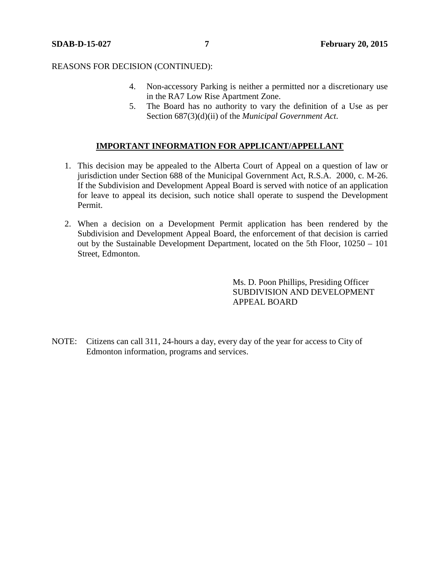#### REASONS FOR DECISION (CONTINUED):

- 4. Non-accessory Parking is neither a permitted nor a discretionary use in the RA7 Low Rise Apartment Zone.
- 5. The Board has no authority to vary the definition of a Use as per Section 687(3)(d)(ii) of the *Municipal Government Act*.

# **IMPORTANT INFORMATION FOR APPLICANT/APPELLANT**

- 1. This decision may be appealed to the Alberta Court of Appeal on a question of law or jurisdiction under Section 688 of the Municipal Government Act, R.S.A. 2000, c. M-26. If the Subdivision and Development Appeal Board is served with notice of an application for leave to appeal its decision, such notice shall operate to suspend the Development Permit.
- 2. When a decision on a Development Permit application has been rendered by the Subdivision and Development Appeal Board, the enforcement of that decision is carried out by the Sustainable Development Department, located on the 5th Floor, 10250 – 101 Street, Edmonton.

Ms. D. Poon Phillips, Presiding Officer SUBDIVISION AND DEVELOPMENT APPEAL BOARD

NOTE: Citizens can call 311, 24-hours a day, every day of the year for access to City of Edmonton information, programs and services.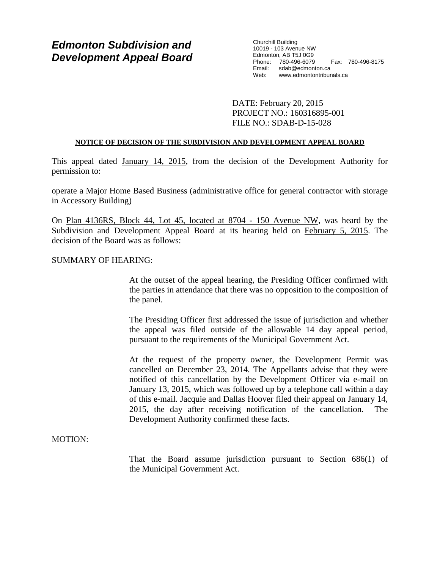# *Edmonton Subdivision and Development Appeal Board*

Churchill Building 10019 - 103 Avenue NW Edmonton, AB T5J 0G9 Phone: 780-496-6079 Fax: 780-496-8175 Email: sdab@edmonton.ca<br>Web: www.edmontontribur www.edmontontribunals.ca

DATE: February 20, 2015 PROJECT NO.: 160316895-001 FILE NO.: SDAB-D-15-028

## **NOTICE OF DECISION OF THE SUBDIVISION AND DEVELOPMENT APPEAL BOARD**

This appeal dated January 14, 2015, from the decision of the Development Authority for permission to:

operate a Major Home Based Business (administrative office for general contractor with storage in Accessory Building)

On Plan 4136RS, Block 44, Lot 45, located at 8704 - 150 Avenue NW, was heard by the Subdivision and Development Appeal Board at its hearing held on February 5, 2015. The decision of the Board was as follows:

# SUMMARY OF HEARING:

At the outset of the appeal hearing, the Presiding Officer confirmed with the parties in attendance that there was no opposition to the composition of the panel.

The Presiding Officer first addressed the issue of jurisdiction and whether the appeal was filed outside of the allowable 14 day appeal period, pursuant to the requirements of the Municipal Government Act.

At the request of the property owner, the Development Permit was cancelled on December 23, 2014. The Appellants advise that they were notified of this cancellation by the Development Officer via e-mail on January 13, 2015, which was followed up by a telephone call within a day of this e-mail. Jacquie and Dallas Hoover filed their appeal on January 14, 2015, the day after receiving notification of the cancellation. The Development Authority confirmed these facts.

# MOTION:

That the Board assume jurisdiction pursuant to Section 686(1) of the Municipal Government Act.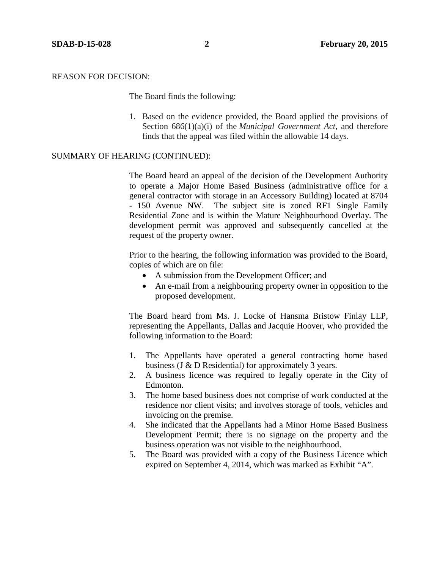## REASON FOR DECISION:

The Board finds the following:

1. Based on the evidence provided, the Board applied the provisions of Section 686(1)(a)(i) of the *Municipal Government Act*, and therefore finds that the appeal was filed within the allowable 14 days.

#### SUMMARY OF HEARING (CONTINUED):

The Board heard an appeal of the decision of the Development Authority to operate a Major Home Based Business (administrative office for a general contractor with storage in an Accessory Building) located at 8704 - 150 Avenue NW. The subject site is zoned RF1 Single Family Residential Zone and is within the Mature Neighbourhood Overlay. The development permit was approved and subsequently cancelled at the request of the property owner.

Prior to the hearing, the following information was provided to the Board, copies of which are on file:

- A submission from the Development Officer; and
- An e-mail from a neighbouring property owner in opposition to the proposed development.

The Board heard from Ms. J. Locke of Hansma Bristow Finlay LLP, representing the Appellants, Dallas and Jacquie Hoover, who provided the following information to the Board:

- 1. The Appellants have operated a general contracting home based business (J & D Residential) for approximately 3 years.
- 2. A business licence was required to legally operate in the City of Edmonton.
- 3. The home based business does not comprise of work conducted at the residence nor client visits; and involves storage of tools, vehicles and invoicing on the premise.
- 4. She indicated that the Appellants had a Minor Home Based Business Development Permit; there is no signage on the property and the business operation was not visible to the neighbourhood.
- 5. The Board was provided with a copy of the Business Licence which expired on September 4, 2014, which was marked as Exhibit "A".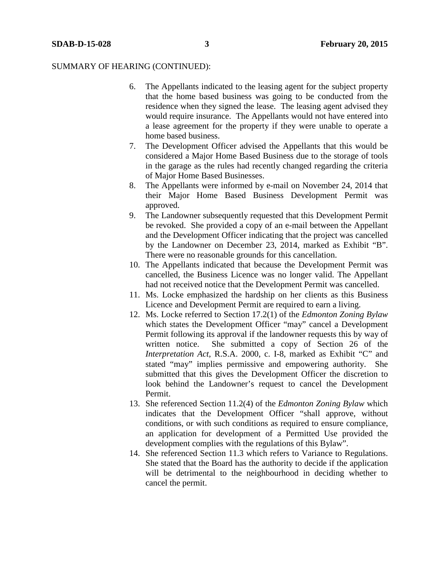- 6. The Appellants indicated to the leasing agent for the subject property that the home based business was going to be conducted from the residence when they signed the lease. The leasing agent advised they would require insurance. The Appellants would not have entered into a lease agreement for the property if they were unable to operate a home based business.
- 7. The Development Officer advised the Appellants that this would be considered a Major Home Based Business due to the storage of tools in the garage as the rules had recently changed regarding the criteria of Major Home Based Businesses.
- 8. The Appellants were informed by e-mail on November 24, 2014 that their Major Home Based Business Development Permit was approved.
- 9. The Landowner subsequently requested that this Development Permit be revoked. She provided a copy of an e-mail between the Appellant and the Development Officer indicating that the project was cancelled by the Landowner on December 23, 2014, marked as Exhibit "B". There were no reasonable grounds for this cancellation.
- 10. The Appellants indicated that because the Development Permit was cancelled, the Business Licence was no longer valid. The Appellant had not received notice that the Development Permit was cancelled.
- 11. Ms. Locke emphasized the hardship on her clients as this Business Licence and Development Permit are required to earn a living.
- 12. Ms. Locke referred to Section 17.2(1) of the *Edmonton Zoning Bylaw* which states the Development Officer "may" cancel a Development Permit following its approval if the landowner requests this by way of written notice. She submitted a copy of Section 26 of the *Interpretation Act*, R.S.A. 2000, c. I-8, marked as Exhibit "C" and stated "may" implies permissive and empowering authority. She submitted that this gives the Development Officer the discretion to look behind the Landowner's request to cancel the Development Permit.
- 13. She referenced Section 11.2(4) of the *Edmonton Zoning Bylaw* which indicates that the Development Officer "shall approve, without conditions, or with such conditions as required to ensure compliance, an application for development of a Permitted Use provided the development complies with the regulations of this Bylaw".
- 14. She referenced Section 11.3 which refers to Variance to Regulations. She stated that the Board has the authority to decide if the application will be detrimental to the neighbourhood in deciding whether to cancel the permit.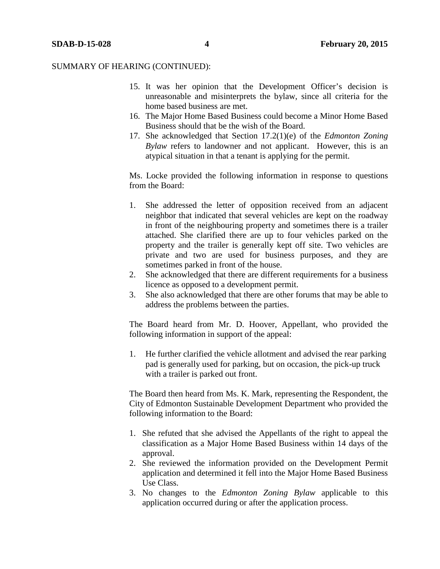- 15. It was her opinion that the Development Officer's decision is unreasonable and misinterprets the bylaw, since all criteria for the home based business are met.
- 16. The Major Home Based Business could become a Minor Home Based Business should that be the wish of the Board.
- 17. She acknowledged that Section 17.2(1)(e) of the *Edmonton Zoning Bylaw* refers to landowner and not applicant. However, this is an atypical situation in that a tenant is applying for the permit.

Ms. Locke provided the following information in response to questions from the Board:

- 1. She addressed the letter of opposition received from an adjacent neighbor that indicated that several vehicles are kept on the roadway in front of the neighbouring property and sometimes there is a trailer attached. She clarified there are up to four vehicles parked on the property and the trailer is generally kept off site. Two vehicles are private and two are used for business purposes, and they are sometimes parked in front of the house.
- 2. She acknowledged that there are different requirements for a business licence as opposed to a development permit.
- 3. She also acknowledged that there are other forums that may be able to address the problems between the parties.

The Board heard from Mr. D. Hoover, Appellant, who provided the following information in support of the appeal:

1. He further clarified the vehicle allotment and advised the rear parking pad is generally used for parking, but on occasion, the pick-up truck with a trailer is parked out front.

The Board then heard from Ms. K. Mark, representing the Respondent, the City of Edmonton Sustainable Development Department who provided the following information to the Board:

- 1. She refuted that she advised the Appellants of the right to appeal the classification as a Major Home Based Business within 14 days of the approval.
- 2. She reviewed the information provided on the Development Permit application and determined it fell into the Major Home Based Business Use Class.
- 3. No changes to the *Edmonton Zoning Bylaw* applicable to this application occurred during or after the application process.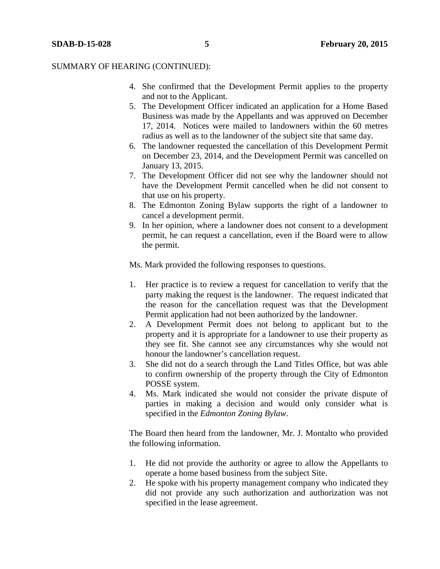- 4. She confirmed that the Development Permit applies to the property and not to the Applicant.
- 5. The Development Officer indicated an application for a Home Based Business was made by the Appellants and was approved on December 17, 2014. Notices were mailed to landowners within the 60 metres radius as well as to the landowner of the subject site that same day.
- 6. The landowner requested the cancellation of this Development Permit on December 23, 2014, and the Development Permit was cancelled on January 13, 2015.
- 7. The Development Officer did not see why the landowner should not have the Development Permit cancelled when he did not consent to that use on his property.
- 8. The Edmonton Zoning Bylaw supports the right of a landowner to cancel a development permit.
- 9. In her opinion, where a landowner does not consent to a development permit, he can request a cancellation, even if the Board were to allow the permit.

Ms. Mark provided the following responses to questions.

- 1. Her practice is to review a request for cancellation to verify that the party making the request is the landowner. The request indicated that the reason for the cancellation request was that the Development Permit application had not been authorized by the landowner.
- 2. A Development Permit does not belong to applicant but to the property and it is appropriate for a landowner to use their property as they see fit. She cannot see any circumstances why she would not honour the landowner's cancellation request.
- 3. She did not do a search through the Land Titles Office, but was able to confirm ownership of the property through the City of Edmonton POSSE system.
- 4. Ms. Mark indicated she would not consider the private dispute of parties in making a decision and would only consider what is specified in the *Edmonton Zoning Bylaw*.

The Board then heard from the landowner, Mr. J. Montalto who provided the following information.

- 1. He did not provide the authority or agree to allow the Appellants to operate a home based business from the subject Site.
- 2. He spoke with his property management company who indicated they did not provide any such authorization and authorization was not specified in the lease agreement.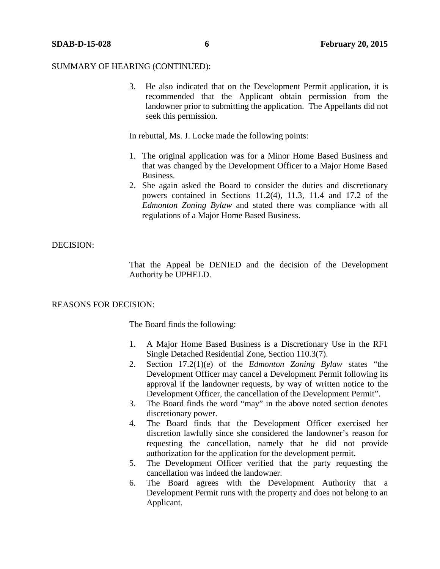3. He also indicated that on the Development Permit application, it is recommended that the Applicant obtain permission from the landowner prior to submitting the application. The Appellants did not seek this permission.

In rebuttal, Ms. J. Locke made the following points:

- 1. The original application was for a Minor Home Based Business and that was changed by the Development Officer to a Major Home Based Business.
- 2. She again asked the Board to consider the duties and discretionary powers contained in Sections 11.2(4), 11.3, 11.4 and 17.2 of the *Edmonton Zoning Bylaw* and stated there was compliance with all regulations of a Major Home Based Business.

#### DECISION:

That the Appeal be DENIED and the decision of the Development Authority be UPHELD.

# REASONS FOR DECISION:

The Board finds the following:

- 1. A Major Home Based Business is a Discretionary Use in the RF1 Single Detached Residential Zone, Section 110.3(7).
- 2. Section 17.2(1)(e) of the *Edmonton Zoning Bylaw* states "the Development Officer may cancel a Development Permit following its approval if the landowner requests, by way of written notice to the Development Officer, the cancellation of the Development Permit".
- 3. The Board finds the word "may" in the above noted section denotes discretionary power.
- 4. The Board finds that the Development Officer exercised her discretion lawfully since she considered the landowner's reason for requesting the cancellation, namely that he did not provide authorization for the application for the development permit.
- 5. The Development Officer verified that the party requesting the cancellation was indeed the landowner.
- 6. The Board agrees with the Development Authority that a Development Permit runs with the property and does not belong to an Applicant.